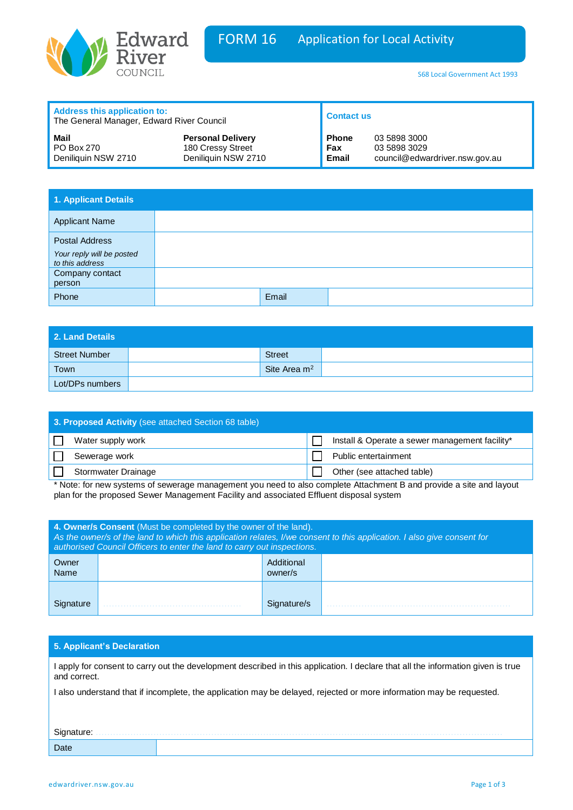

| <b>Address this application to:</b><br>The General Manager, Edward River Council |                          | <b>Contact us</b> |                                |
|----------------------------------------------------------------------------------|--------------------------|-------------------|--------------------------------|
| Mail                                                                             | <b>Personal Delivery</b> | <b>Phone</b>      | 03 5898 3000                   |
| PO Box 270                                                                       | 180 Cressy Street        | Fax               | 03 5898 3029                   |
| Deniliquin NSW 2710                                                              | Deniliquin NSW 2710      | <b>Email</b>      | council@edwardriver.nsw.gov.au |

| 1. Applicant Details                                                  |       |  |
|-----------------------------------------------------------------------|-------|--|
| <b>Applicant Name</b>                                                 |       |  |
| <b>Postal Address</b><br>Your reply will be posted<br>to this address |       |  |
| Company contact<br>person                                             |       |  |
| Phone                                                                 | Email |  |

| <b>2. Land Details</b> |                |  |
|------------------------|----------------|--|
| Street Number          | <b>Street</b>  |  |
| Town                   | Site Area $m2$ |  |
| Lot/DPs numbers        |                |  |

| 3. Proposed Activity (see attached Section 68 table)                                                                |                                                |  |
|---------------------------------------------------------------------------------------------------------------------|------------------------------------------------|--|
| Water supply work                                                                                                   | Install & Operate a sewer management facility* |  |
| Sewerage work                                                                                                       | Public entertainment                           |  |
| <b>Stormwater Drainage</b>                                                                                          | Other (see attached table)                     |  |
| * Note: for new systems of sewerage management you need to also complete Attachment R and provide a site and layout |                                                |  |

or new systems of sewerage management you need to also complete Attachment B and provide a site and layout plan for the proposed Sewer Management Facility and associated Effluent disposal system

| 4. Owner/s Consent (Must be completed by the owner of the land).<br>As the owner/s of the land to which this application relates, I/we consent to this application. I also give consent for<br>authorised Council Officers to enter the land to carry out inspections. |  |                       |  |
|------------------------------------------------------------------------------------------------------------------------------------------------------------------------------------------------------------------------------------------------------------------------|--|-----------------------|--|
| Owner<br><b>Name</b>                                                                                                                                                                                                                                                   |  | Additional<br>owner/s |  |
|                                                                                                                                                                                                                                                                        |  | Signature/s           |  |

## **5. Applicant's Declaration**

I apply for consent to carry out the development described in this application. I declare that all the information given is true and correct.

I also understand that if incomplete, the application may be delayed, rejected or more information may be requested.

| Signature: |  |
|------------|--|
| Date       |  |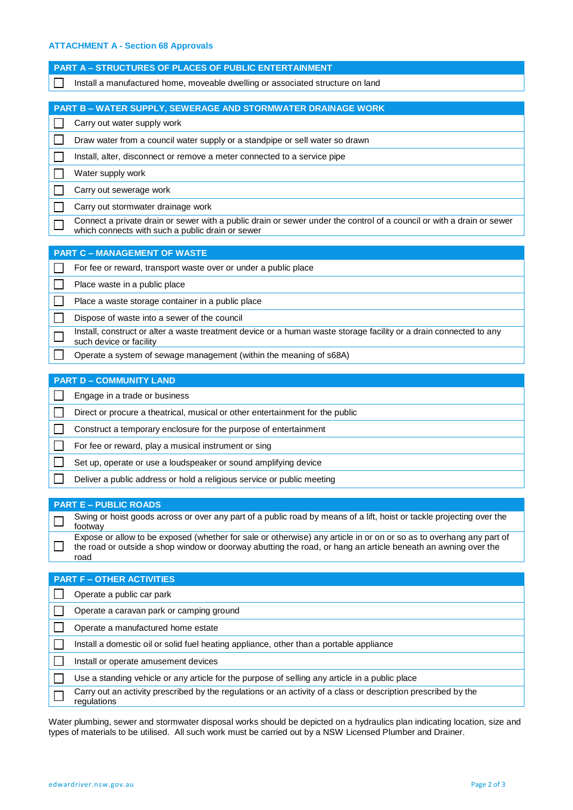## **ATTACHMENT A - Section 68 Approvals**

| <b>PART A - STRUCTURES OF PLACES OF PUBLIC ENTERTAINMENT</b>                                                                                                                                                                         |
|--------------------------------------------------------------------------------------------------------------------------------------------------------------------------------------------------------------------------------------|
| Install a manufactured home, moveable dwelling or associated structure on land                                                                                                                                                       |
|                                                                                                                                                                                                                                      |
| PART B - WATER SUPPLY, SEWERAGE AND STORMWATER DRAINAGE WORK                                                                                                                                                                         |
| Carry out water supply work                                                                                                                                                                                                          |
| Draw water from a council water supply or a standpipe or sell water so drawn                                                                                                                                                         |
| Install, alter, disconnect or remove a meter connected to a service pipe                                                                                                                                                             |
| Water supply work                                                                                                                                                                                                                    |
| Carry out sewerage work                                                                                                                                                                                                              |
| Carry out stormwater drainage work                                                                                                                                                                                                   |
| Connect a private drain or sewer with a public drain or sewer under the control of a council or with a drain or sewer<br>which connects with such a public drain or sewer                                                            |
| <b>PART C - MANAGEMENT OF WASTE</b>                                                                                                                                                                                                  |
| For fee or reward, transport waste over or under a public place                                                                                                                                                                      |
| Place waste in a public place                                                                                                                                                                                                        |
| Place a waste storage container in a public place                                                                                                                                                                                    |
| Dispose of waste into a sewer of the council                                                                                                                                                                                         |
| Install, construct or alter a waste treatment device or a human waste storage facility or a drain connected to any<br>such device or facility                                                                                        |
| Operate a system of sewage management (within the meaning of s68A)                                                                                                                                                                   |
|                                                                                                                                                                                                                                      |
| <b>PART D - COMMUNITY LAND</b>                                                                                                                                                                                                       |
| Engage in a trade or business                                                                                                                                                                                                        |
| Direct or procure a theatrical, musical or other entertainment for the public                                                                                                                                                        |
| Construct a temporary enclosure for the purpose of entertainment                                                                                                                                                                     |
| For fee or reward, play a musical instrument or sing                                                                                                                                                                                 |
| Set up, operate or use a loudspeaker or sound amplifying device                                                                                                                                                                      |
| Deliver a public address or hold a religious service or public meeting                                                                                                                                                               |
|                                                                                                                                                                                                                                      |
| <b>PART E - PUBLIC ROADS</b>                                                                                                                                                                                                         |
| Swing or hoist goods across or over any part of a public road by means of a lift, hoist or tackle projecting over the<br>footway                                                                                                     |
| Expose or allow to be exposed (whether for sale or otherwise) any article in or on or so as to overhang any part of<br>the road or outside a shop window or doorway abutting the road, or hang an article beneath an awning over the |

| <b>PART F-OTHER ACTIVITIES</b>                                                                                                |
|-------------------------------------------------------------------------------------------------------------------------------|
| Operate a public car park                                                                                                     |
| Operate a caravan park or camping ground                                                                                      |
| Operate a manufactured home estate                                                                                            |
| Install a domestic oil or solid fuel heating appliance, other than a portable appliance                                       |
| Install or operate amusement devices                                                                                          |
| Use a standing vehicle or any article for the purpose of selling any article in a public place                                |
| Carry out an activity prescribed by the regulations or an activity of a class or description prescribed by the<br>regulations |

Water plumbing, sewer and stormwater disposal works should be depicted on a hydraulics plan indicating location, size and types of materials to be utilised. All such work must be carried out by a NSW Licensed Plumber and Drainer.

road